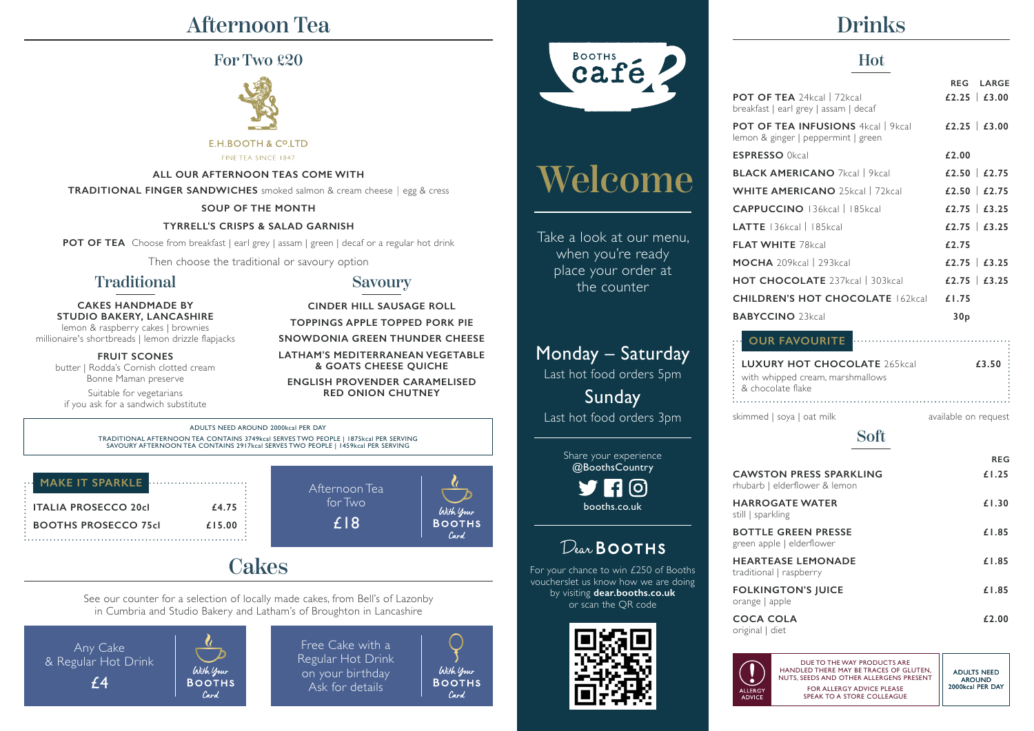# Afternoon Tea

# For Two £20



#### E.H.BOOTH & CO.LTD

FINE TEA SINCE 1847

### **ALL OUR AFTERNOON TEAS COME WITH**

**TRADITIONAL FINGER SANDWICHES** smoked salmon & cream cheese︱egg & cress

### **SOUP OF THE MONTH**

### **TYRRELL'S CRISPS & SALAD GARNISH**

**POT OF TEA** Choose from breakfast | earl grey | assam | green | decaf or a regular hot drink

Then choose the traditional or savoury option

# Traditional

**CAKES HANDMADE BY STUDIO BAKERY, LANCASHIRE** lemon & raspberry cakes | brownies

millionaire's shortbreads | lemon drizzle flapjacks **FRUIT SCONES**

butter | Rodda's Cornish clotted cream Bonne Maman preserve

Suitable for vegetarians if you ask for a sandwich substitute

## Savoury **CINDER HILL SAUSAGE ROLL**

**TOPPINGS APPLE TOPPED PORK PIE SNOWDONIA GREEN THUNDER CHEESE LATHAM'S MEDITERRANEAN VEGETABLE & GOATS CHEESE QUICHE**

**ENGLISH PROVENDER CARAMELISED RED ONION CHUTNEY**

ADULTS NEED AROUND 2000kcal PER DAY TRADITIONAL AFTERNOON TEA CONTAINS 3749kcal SERVES TWO PEOPLE | 1875kcal PER SERVING SAVOURY AFTERNOON TEA CONTAINS 2917kcal SERVES TWO PEOPLE | 1459kcal PER SERVING

| <b>MAKE IT SPARKLE</b>      |        |
|-----------------------------|--------|
| : ITALIA PROSECCO 20cl      | £4.75  |
| <b>BOOTHS PROSECCO 75cl</b> | £15.00 |

# **Cakes**

See our counter for a selection of locally made cakes, from Bell's of Lazonby in Cumbria and Studio Bakery and Latham's of Broughton in Lancashire

Any Cake & Regular Hot Drink £4

With your **BOOTHS** Card.

Free Cake with a Regular Hot Drink on your birthday Ask for details

Afternoon Tea for Two £18

> With your **BOOTHS** Card.

With your **BOOTHS** Card



# Welcome

Take a look at our menu, when you're ready place your order at the counter

# Monday – Saturday

Last hot food orders 5pm

Sunday Last hot food orders 3pm

> Share your experience @BoothsCountry [O] booths.co.uk

# $D_{\text{av}}$ BOOTHS

For your chance to win £250 of Booths voucherslet us know how we are doing by visiting **dear.booths.co.uk** or scan the QR code



# Drinks

# Hot

|                                                                                              | <b>RFG</b><br><b>LARGE</b> |
|----------------------------------------------------------------------------------------------|----------------------------|
| <b>POT OF TEA</b> 24kcal   72kcal<br>breakfast   earl grey   assam   decaf                   | £2.25   £3.00              |
| POT OF TEA INFUSIONS 4kcal   9kcal<br>lemon & ginger   peppermint   green                    | £2.25 $\pm$ 3.00           |
| <b>ESPRESSO</b> Okcal                                                                        | £2.00                      |
| <b>BLACK AMERICANO 7kcal   9kcal</b>                                                         | £2.50 $£2.75$              |
| <b>WHITE AMERICANO</b> 25kcal   72kcal                                                       | £2.50 $E$ 2.75             |
| <b>CAPPUCCINO</b> 136kcal   185kcal                                                          | £2.75   £3.25              |
| $LATTE$ 136kcal   185kcal                                                                    | £2.75   £3.25              |
| <b>FLAT WHITE 78kcal</b>                                                                     | £2.75                      |
| <b>MOCHA</b> 209kcal   293kcal                                                               | £2.75   £3.25              |
| <b>HOT CHOCOLATE</b> 237kcal   303kcal                                                       | $£2.75$ $£3.25$            |
| <b>CHILDREN'S HOT CHOCOLATE 162kcal</b>                                                      | £1.75                      |
| <b>BABYCCINO</b> 23kcal                                                                      | 30 <sub>p</sub>            |
| OUR FAVOURITE                                                                                |                            |
| <b>LUXURY HOT CHOCOLATE 265kcal</b><br>with whipped cream, marshmallows<br>& chocolate flake | £3.50                      |
|                                                                                              |                            |

skimmed | soya | oat milk available on request

# Soft

|                                                                 | REG   |
|-----------------------------------------------------------------|-------|
| <b>CAWSTON PRESS SPARKLING</b><br>rhubarb   elderflower & lemon | £1.25 |
| <b>HARROGATE WATER</b><br>still   sparkling                     | £1.30 |
| <b>BOTTLE GREEN PRESSE</b><br>green apple   elderflower         | £1.85 |
| <b>HEARTEASE LEMONADE</b><br>traditional   raspberry            | £1.85 |
| <b>FOLKINGTON'S JUICE</b><br>orange   apple                     | £1.85 |
| <b>COCA COLA</b><br>original   diet                             | £2.00 |